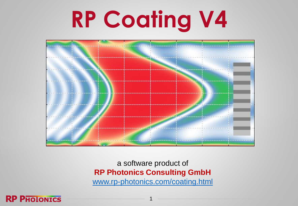# **RP Coating V4**



a software product of **RP Photonics Consulting GmbH** [www.rp-photonics.com/coating.html](https://www.rp-photonics.com/coating.html)

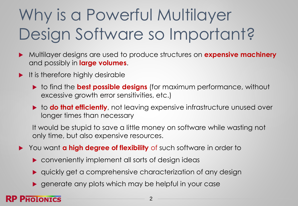# Why is a Powerful Multilayer Design Software so Important?

- Multilayer designs are used to produce structures on **expensive machinery** and possibly in **large volumes**.
- $\blacktriangleright$  It is therefore highly desirable
	- **to find the best possible designs** (for maximum performance, without excessive growth error sensitivities, etc.)
	- **► to do that efficiently**, not leaving expensive infrastructure unused over longer times than necessary

It would be stupid to save a little money on software while wasting not only time, but also expensive resources.

- You want **a high degree of flexibility** of such software in order to
	- **Conveniently implement all sorts of design ideas**
	- quickly get a comprehensive characterization of any design
	- generate any plots which may be helpful in your case

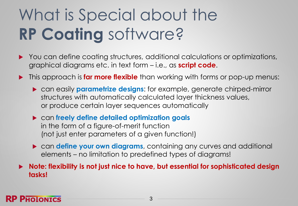# What is Special about the **RP Coating** software?

- ▶ You can define coating structures, additional calculations or optimizations, graphical diagrams etc. in text form – i.e., as **script code**.
- **This approach is far more flexible** than working with forms or pop-up menus:
	- can easily **parametrize designs**: for example, generate chirped-mirror structures with automatically calculated layer thickness values, or produce certain layer sequences automatically
	- can **freely define detailed optimization goals** in the form of a figure-of-merit function (not just enter parameters of a given function!)
	- **Example fine your own diagrams**, containing any curves and additional elements – no limitation to predefined types of diagrams!

 **Note: flexibility is not just nice to have, but essential for sophisticated design tasks!**

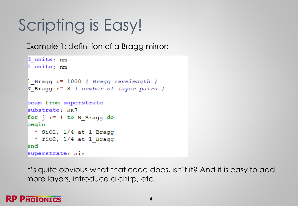# Scripting is Easy!

Example 1: definition of a Bragg mirror:

```
d units: nm
1 units: nm
1 Bragg := 1000 { Bragg wavelength }
N Braqq := 8 { number of layer pairs }
beam from superstrate
substrate: BK7
for i := 1 to N Bragg do
begin
  * SiO2, 1/4 at 1 Bragg
  * TiO2, 1/4 at 1 Bragg
lend
superstrate: air
```
It's quite obvious what that code does, isn't it? And it is easy to add more layers, introduce a chirp, etc.

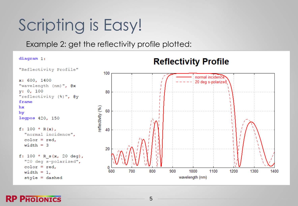# Scripting is Easy!

Example 2: get the reflectivity profile plotted:



#### **RP PHOLONICS**

5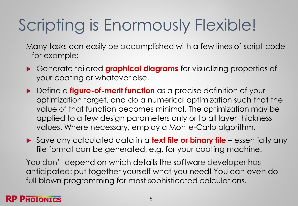# Scripting is Enormously Flexible!

Many tasks can easily be accomplished with a few lines of script code – for example:

- Generate tailored **graphical diagrams** for visualizing properties of your coating or whatever else.
- ▶ Define a **figure-of-merit function** as a precise definition of your optimization target, and do a numerical optimization such that the value of that function becomes minimal. The optimization may be applied to a few design parameters only or to all layer thickness values. Where necessary, employ a Monte-Carlo algorithm.
- Save any calculated data in a **text file or binary file**  essentially any file format can be generated, e.g. for your coating machine.

You don't depend on which details the software developer has anticipated: put together yourself what you need! You can even do full-blown programming for most sophisticated calculations.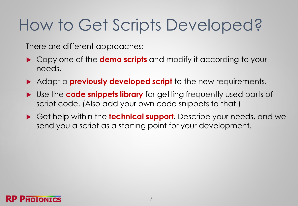### How to Get Scripts Developed?

There are different approaches:

- Copy one of the **demo scripts** and modify it according to your needs.
- Adapt a **previously developed script** to the new requirements.
- Use the **code snippets library** for getting frequently used parts of script code. (Also add your own code snippets to that!)
- Get help within the **technical support**. Describe your needs, and we send you a script as a starting point for your development.

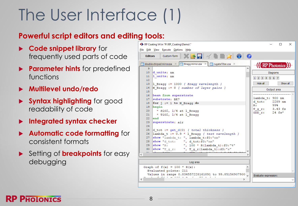# The User Interface (1)

### **Powerful script editors and editing tools:**

- **Code snippet library** for frequently used parts of code
- **Parameter hints** for predefined functions
- **Multilevel undo/redo**
- **Syntax highlighting** for good readability of code
- **Integrated syntax checker**
- **Automatic code formatting** for consistent formats
- Setting of **breakpoints** for easy debugging

8

| File Edit View Execute Options Help<br><b>Editors</b><br>double-chirped mirror.coa $\times$ $\blacksquare$ Bragg mirror.coa $\times$ $\blacksquare$ rugate filter.coa $\times$<br><b>RP</b> Photonics<br>А<br>9<br>10 $d$ units; nm<br><b>Diagrams</b><br>11  1 $units: nm$<br>1 2 3 4 5 6 7<br>12<br>Hide all<br>Show all<br>13   1 Bragg := 1000 { Bragg wavelength }<br>N Braqq $:= 8$ { number of layer pairs }<br>$14-1$<br>Output area<br>15<br>16 beam from superstrate<br>lambda t: 900 nm<br>17 substrate: BK7<br>d tot: 2289 nm<br>18   for $j := 1$ to N Bragg do<br>99%<br>$\mathbf{R}$ :<br>19 begin<br>T g r: 3.43 fs<br>* SiO2, 1/4 at 1 Bragg<br>20<br>GDD $r$ : 24 $fs^2$<br>* TiO2, 1/4 at 1 Bragg<br>$21 -$<br>$22 -$<br>$\epsilon$ <sub>l</sub><br>$23 -$<br>superstrate; air<br>24<br>25 d tot := get $d(0)$ { total thickness }<br>$26 -$<br>$\lambda$ lambda t := 0.9 * 1 Bragg { test wavelength }<br>show "lambda t: ", lambda t:f0:"nm"<br>$27 -$<br>show "d_tot: ", d_tot:f0:"nm"<br>28<br>show "R: ", 100 * R(lambda t): $f0$ : "%"<br>$29 -$<br>show "T g r: ", T g r(lambda t):d3:"s"<br>30<br>on.<br>Log area<br>Graph of $f(x) = 100 * R(x)$ :<br>Evaluated points: 211<br>Values in range 0.834557228161891 to 99.85156907900<br>Evaluate expression:<br>€<br>⋗ | * RP Coating V4 in "P:\RP_Coating\Demo\" | $\times$<br>□ |
|--------------------------------------------------------------------------------------------------------------------------------------------------------------------------------------------------------------------------------------------------------------------------------------------------------------------------------------------------------------------------------------------------------------------------------------------------------------------------------------------------------------------------------------------------------------------------------------------------------------------------------------------------------------------------------------------------------------------------------------------------------------------------------------------------------------------------------------------------------------------------------------------------------------------------------------------------------------------------------------------------------------------------------------------------------------------------------------------------------------------------------------------------------------------------------------------------------------------------------------------------------------------------------------------------|------------------------------------------|---------------|
|                                                                                                                                                                                                                                                                                                                                                                                                                                                                                                                                                                                                                                                                                                                                                                                                                                                                                                                                                                                                                                                                                                                                                                                                                                                                                                  |                                          |               |
|                                                                                                                                                                                                                                                                                                                                                                                                                                                                                                                                                                                                                                                                                                                                                                                                                                                                                                                                                                                                                                                                                                                                                                                                                                                                                                  |                                          |               |
|                                                                                                                                                                                                                                                                                                                                                                                                                                                                                                                                                                                                                                                                                                                                                                                                                                                                                                                                                                                                                                                                                                                                                                                                                                                                                                  |                                          |               |
|                                                                                                                                                                                                                                                                                                                                                                                                                                                                                                                                                                                                                                                                                                                                                                                                                                                                                                                                                                                                                                                                                                                                                                                                                                                                                                  |                                          |               |
|                                                                                                                                                                                                                                                                                                                                                                                                                                                                                                                                                                                                                                                                                                                                                                                                                                                                                                                                                                                                                                                                                                                                                                                                                                                                                                  |                                          |               |
|                                                                                                                                                                                                                                                                                                                                                                                                                                                                                                                                                                                                                                                                                                                                                                                                                                                                                                                                                                                                                                                                                                                                                                                                                                                                                                  |                                          |               |
|                                                                                                                                                                                                                                                                                                                                                                                                                                                                                                                                                                                                                                                                                                                                                                                                                                                                                                                                                                                                                                                                                                                                                                                                                                                                                                  |                                          |               |
|                                                                                                                                                                                                                                                                                                                                                                                                                                                                                                                                                                                                                                                                                                                                                                                                                                                                                                                                                                                                                                                                                                                                                                                                                                                                                                  |                                          |               |
|                                                                                                                                                                                                                                                                                                                                                                                                                                                                                                                                                                                                                                                                                                                                                                                                                                                                                                                                                                                                                                                                                                                                                                                                                                                                                                  |                                          |               |
|                                                                                                                                                                                                                                                                                                                                                                                                                                                                                                                                                                                                                                                                                                                                                                                                                                                                                                                                                                                                                                                                                                                                                                                                                                                                                                  |                                          |               |
|                                                                                                                                                                                                                                                                                                                                                                                                                                                                                                                                                                                                                                                                                                                                                                                                                                                                                                                                                                                                                                                                                                                                                                                                                                                                                                  |                                          |               |
|                                                                                                                                                                                                                                                                                                                                                                                                                                                                                                                                                                                                                                                                                                                                                                                                                                                                                                                                                                                                                                                                                                                                                                                                                                                                                                  |                                          |               |
|                                                                                                                                                                                                                                                                                                                                                                                                                                                                                                                                                                                                                                                                                                                                                                                                                                                                                                                                                                                                                                                                                                                                                                                                                                                                                                  |                                          |               |
|                                                                                                                                                                                                                                                                                                                                                                                                                                                                                                                                                                                                                                                                                                                                                                                                                                                                                                                                                                                                                                                                                                                                                                                                                                                                                                  |                                          |               |
|                                                                                                                                                                                                                                                                                                                                                                                                                                                                                                                                                                                                                                                                                                                                                                                                                                                                                                                                                                                                                                                                                                                                                                                                                                                                                                  |                                          |               |
|                                                                                                                                                                                                                                                                                                                                                                                                                                                                                                                                                                                                                                                                                                                                                                                                                                                                                                                                                                                                                                                                                                                                                                                                                                                                                                  |                                          |               |
|                                                                                                                                                                                                                                                                                                                                                                                                                                                                                                                                                                                                                                                                                                                                                                                                                                                                                                                                                                                                                                                                                                                                                                                                                                                                                                  |                                          |               |
|                                                                                                                                                                                                                                                                                                                                                                                                                                                                                                                                                                                                                                                                                                                                                                                                                                                                                                                                                                                                                                                                                                                                                                                                                                                                                                  |                                          |               |
|                                                                                                                                                                                                                                                                                                                                                                                                                                                                                                                                                                                                                                                                                                                                                                                                                                                                                                                                                                                                                                                                                                                                                                                                                                                                                                  |                                          |               |
|                                                                                                                                                                                                                                                                                                                                                                                                                                                                                                                                                                                                                                                                                                                                                                                                                                                                                                                                                                                                                                                                                                                                                                                                                                                                                                  |                                          |               |
|                                                                                                                                                                                                                                                                                                                                                                                                                                                                                                                                                                                                                                                                                                                                                                                                                                                                                                                                                                                                                                                                                                                                                                                                                                                                                                  |                                          |               |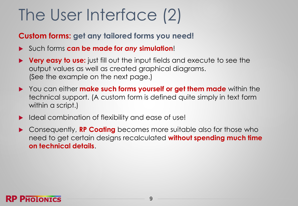### The User Interface (2)

### **Custom forms: get any tailored forms you need!**

- Such forms **can be made for** *any* **simulation**!
- **Very easy to use:** just fill out the input fields and execute to see the output values as well as created graphical diagrams. (See the example on the next page.)
- You can either **make such forms yourself or get them made** within the technical support. (A custom form is defined quite simply in text form within a script.)
- ▶ Ideal combination of flexibility and ease of use!
- Consequently, **RP Coating** becomes more suitable also for those who need to get certain designs recalculated **without spending much time on technical details**.

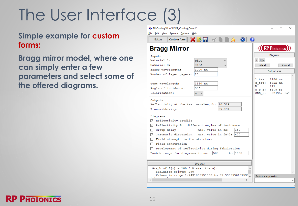# The User Interface (3)

#### **Simple example for custom forms:**

**Bragg mirror model, where one can simply enter a few parameters and select some of the offered diagrams.**

| * RP Coating V4 in "P:\RP_Coating\Demo\"<br>File Edit View Execute Options Help                                                          |                                |                | □        | × |
|------------------------------------------------------------------------------------------------------------------------------------------|--------------------------------|----------------|----------|---|
| $X$ 3 $\blacksquare$ $\preccurlyeq$ $\blacksquare$ $\blacksquare$ $\Join$ $\blacksquare$ $\blacksquare$<br>Custom form<br><b>Editors</b> |                                |                |          |   |
| <b>Bragg Mirror</b>                                                                                                                      | <b>HERP Photonics</b>          |                |          |   |
| Inputs                                                                                                                                   |                                | Diagrams       |          |   |
| Material 1:<br>sio <sub>2</sub>                                                                                                          | $1 \quad 2 \quad 4$            |                |          |   |
| Material 2:<br>TiO <sub>2</sub>                                                                                                          | Hide all                       |                | Show all |   |
| 1000 nm<br>Bragg wavelength:                                                                                                             |                                | Output area    |          |   |
| Number of layer payers:<br>$ 20\rangle$                                                                                                  |                                |                |          |   |
|                                                                                                                                          | 1 test: 1180 nm                |                |          |   |
| 1180 nm<br>Test wavelength:                                                                                                              | d tot:<br>$\mathbb{R}$ :       | 5722 nm<br>11% |          |   |
| 30 <sup>°</sup><br>Angle of incidence:                                                                                                   | $T_g r: 95.5 fs$               |                |          |   |
| Polarization:<br>s.                                                                                                                      | GDD r: -324957 fs <sup>2</sup> |                |          |   |
| Outputs                                                                                                                                  |                                |                |          |   |
| 10.51%<br>Reflectivity at the test wavelength:                                                                                           |                                |                |          |   |
| Transmittivity:<br>89.49%                                                                                                                |                                |                |          |   |
| Diagrams                                                                                                                                 |                                |                |          |   |
| ☑ Reflectivity profile                                                                                                                   |                                |                |          |   |
| ○ Reflectivity for different angles of incidence                                                                                         |                                |                |          |   |
| 150<br>□ Group delay<br>max. value in fs:                                                                                                |                                |                |          |   |
| $\boxdot$ Chromatic dispersion max. value in fs^2: 400                                                                                   |                                |                |          |   |
| $\Box$ Field strength in the structure                                                                                                   |                                |                |          |   |
| $\Box$ Field penetration                                                                                                                 |                                |                |          |   |
| Development of reflectivity during fabrication<br>П                                                                                      |                                |                |          |   |
| 500<br>$to$ 1500<br>Lambda range for diagrams in nm:                                                                                     |                                |                |          |   |
|                                                                                                                                          |                                |                |          |   |
| Log area                                                                                                                                 |                                |                |          |   |
| Graph of $f(x) = 100 * R_s(x, \theta)$ :<br>Evaluated points: 290                                                                        |                                |                |          |   |
| Values in range 1.7431099951338 to 99.9999996657537.                                                                                     |                                |                |          |   |
| $\hat{~}$<br>ъ                                                                                                                           | Evaluate expression:           |                |          |   |
|                                                                                                                                          |                                |                |          |   |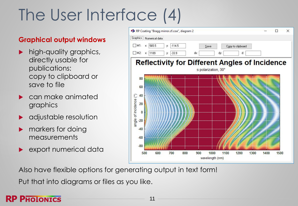# The User Interface (4)

#### **Graphical output windows**

- high-quality graphics, directly usable for publications: copy to clipboard or save to file
- can make animated graphics
- adjustable resolution
- markers for doing measurements
- **EXPORT numerical data**



Also have flexible options for generating output in text form!

Put that into diagrams or files as you like.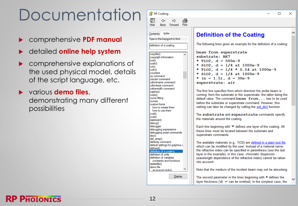### Documentation

- comprehensive **PDF manual**
- detailed **online help system**
- comprehensive explanations of the used physical model, details of the script language, etc.
- various **demo files**, demonstrating many different possibilities

| Index<br>Contents                  | <b>Definition of the Coating</b>                                      |  |
|------------------------------------|-----------------------------------------------------------------------|--|
| Type in the keyword to find:       |                                                                       |  |
|                                    | The following lines given an example for the definition of a coating: |  |
| definition of a coating            |                                                                       |  |
|                                    | beam from superstrate                                                 |  |
| copyfile()                         |                                                                       |  |
| copyright information              | substrate: BK7                                                        |  |
| cos()                              | * TiO2, $d = 500e-9$                                                  |  |
| cosh()                             | * SiO2, $d = 1/4$ at 1000e-9                                          |  |
| cot()                              |                                                                       |  |
| coth()                             | * TiO2, $d = 1/4$ * 0.54 at 1000e-9                                   |  |
| counters                           | * SiO2, $d = 1/4$ at 1000e-9                                          |  |
| cp command<br>cscolor command      | * $(n = 1.5)$ , d = 30e-9                                             |  |
| csfontname command                 |                                                                       |  |
| csfontsize command                 | superstrate: air                                                      |  |
| cslinewidth command                |                                                                       |  |
| cspline()                          | The first line specifies from which direction the probe beam is       |  |
| cube()                             | coming: from the substrate or the superstrate, the latter being the   |  |
| curve fitting                      | default value. The command beam from has to be used                   |  |
| curves                             |                                                                       |  |
| custom forms                       | before the substrate or superstrate command. However, this            |  |
| how to create them                 | setting can later be changed by calling the set dir() function.       |  |
| how to use them                    |                                                                       |  |
| cval()                             | The substrate and superstrate commands specify                        |  |
| cvar()                             | the materials around the coating.                                     |  |
| datetostr()                        |                                                                       |  |
| debug()                            |                                                                       |  |
| debugger                           | Each line beginning with '*' defines one layer of the coating. All    |  |
| debugging expressions              | these lines must be located between the substrate and                 |  |
| debugging script commands<br>dec() | superstrate commands.                                                 |  |
| def array()                        |                                                                       |  |
| defarray command                   | The available materials (e.g., TiO2) are defined in a plain text file |  |
| default settings for graphics a    |                                                                       |  |
| defined()                          | which can be modified by the user. Instead of a material name,        |  |
| definition of a coating            | the refractive index can be specified in parenthesis (see the last    |  |
| definition of units                | layer in the example); in this case, chromatic dispersion             |  |
| definition of variables            | (wavelength dependence of the refractive index) cannot be taken       |  |
| constants and functions            | into account                                                          |  |
| deletefile()                       |                                                                       |  |
| demo file                          |                                                                       |  |
| air-spaced etalon                  | Note that the medium of the incident beam may not be absorbing.       |  |
|                                    |                                                                       |  |
| Display                            | The second parameter in the lines beginning with * defines the        |  |
|                                    | layer thickness $(d = can be omitted)$ . In the simplest case, the    |  |

 $\Box$ 

×



RP Coating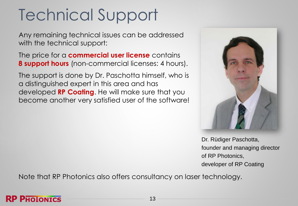# Technical Support

Any remaining technical issues can be addressed with the technical support:

The price for a **commercial user license** contains **8 support hours** (non-commercial licenses: 4 hours).

The support is done by Dr. Paschotta himself, who is a distinguished expert in this area and has developed **RP Coating**. He will make sure that you become another very satisfied user of the software!



Dr. Rüdiger Paschotta, founder and managing director of RP Photonics, developer of RP Coating

Note that RP Photonics also offers consultancy on laser technology.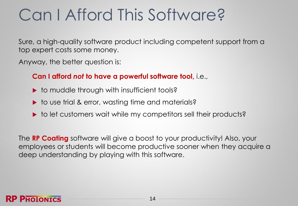### Can I Afford This Software?

Sure, a high-quality software product including competent support from a top expert costs some money.

Anyway, the better question is:

#### **Can I afford** *not* **to have a powerful software tool,** i.e.,

- $\triangleright$  to muddle through with insufficient tools?
- ▶ to use trial & error, wasting time and materials?
- ▶ to let customers wait while my competitors sell their products?

The **RP Coating** software will give a boost to your productivity! Also, your employees or students will become productive sooner when they acquire a deep understanding by playing with this software.

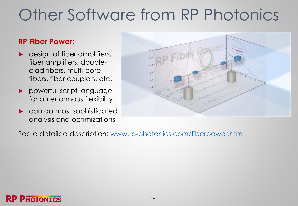### Other Software from RP Photonics

#### **RP Fiber Power:**

- **design of fiber amplifiers,** fiber amplifiers, doubleclad fibers, multi-core fibers, fiber couplers, etc.
- **P** powerful script language for an enormous flexibility
- **Decimend** can do most sophisticated analysis and optimizations



See a detailed description: [www.rp-photonics.com/fiberpower.html](https://www.rp-photonics.com/fiberpower.html)

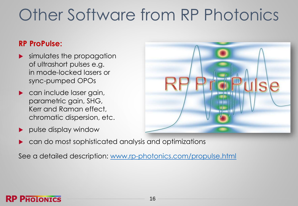### Other Software from RP Photonics

#### **RP ProPulse:**

- simulates the propagation of ultrashort pulses e.g. in mode-locked lasers or sync-pumped OPOs
- **Can include laser gain,** parametric gain, SHG, Kerr and Raman effect, chromatic dispersion, etc.
- pulse display window



can do most sophisticated analysis and optimizations

See a detailed description: [www.rp-photonics.com/propulse.html](https://www.rp-photonics.com/propulse.html)